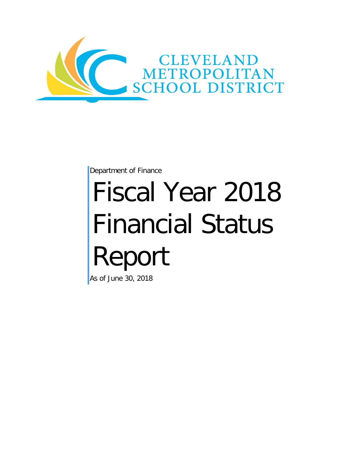

Department of Finance

# Fiscal Year 2018 Financial Status Report

As of June 30, 2018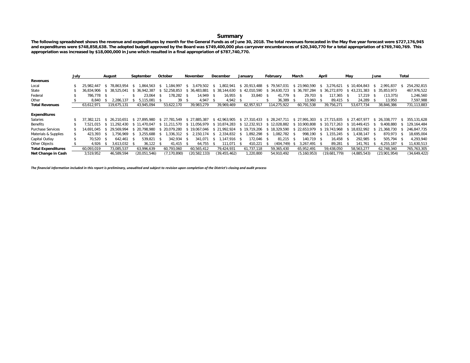#### **Summary**

**The following spreadsheet shows the revenue and expenditures by month for the General Funds as of June 30, 2018. The total revenues forecasted in the May five year forecast were \$727,176,945 and expenditures were \$748,858,638. The adopted budget approved by the Board was \$749,400,000 plus carryover encumbrances of \$20,340,770 for a total appropriation of \$769,740,769. This appropriation was increased by \$18,000,000 in June which resulted in a final appropriation of \$787,740,770.**

|                           | July |            |     | August       |      | September    |      | October       |      | November       |      | December                  |      | January      |      | February      |               | March         | April |               | May |                | June |              | Total |              |
|---------------------------|------|------------|-----|--------------|------|--------------|------|---------------|------|----------------|------|---------------------------|------|--------------|------|---------------|---------------|---------------|-------|---------------|-----|----------------|------|--------------|-------|--------------|
| Revenues                  |      |            |     |              |      |              |      |               |      |                |      |                           |      |              |      |               |               |               |       |               |     |                |      |              |       |              |
| Local                     |      | 25.982.447 |     | 78.863.954   | - 56 | 864.563      | s -  | .184.997      | -S   | 3.479.502      | - 85 | 1,802,941                 |      | \$20,913,488 |      | \$79.567.031  |               | \$23,960,590  | -SS   | 3.276.621     |     | 10.404.843     |      | 2.991.837    |       | 254,292,815  |
| State                     |      | 36.834.906 |     | 38.525.041   |      | 36.942.387   |      | 52.258.853    |      | 36.483.881     |      | 38.144.630                |      | 42.010.590   |      | \$ 34,630,723 |               | \$36.787.284  |       | \$ 36,272,870 |     | 43.231<br>.383 |      | 35.853.973   |       | 467,976,522  |
| Federal                   |      | 786.778    |     |              |      | 23.064       |      | 178.282       | - \$ | 14.949         | - \$ | 16.955                    | - \$ | 33,840       | -S   | 41.779        | $\mathcal{S}$ | 29,703        | - 55  | 117.365       |     | 17.219         |      | (13, 375)    |       | 1,246,560    |
| Other                     |      | 8.840      |     | 2.286.137    |      | 5.115.081    |      | 39            |      | 4.947          | - 86 | 4.942                     | - 55 |              |      | 36.389        |               | 13.960        | - 55  | 89.415        |     | 24,289         |      | 13,950       |       | 7,597,988    |
| <b>Total Revenues</b>     |      | 63,612,971 |     | 119.675.131  |      | 43.945.094   |      | 53,622,170    |      | 39.983.279     |      | 39,969,469                |      | 62.957.917   |      | 114.275.922   |               | 60,791,538    |       | 39,756,271    |     | 53,677,734     |      | 38,846,386   |       | 731,113,883  |
| <b>Expenditures</b>       |      |            |     |              |      |              |      |               |      |                |      |                           |      |              |      |               |               |               |       |               |     |                |      |              |       |              |
| Salaries                  |      | 37.382.121 | -SS | 26.210.651   |      | \$27,895,980 |      | \$27.781.549  |      | \$27.885.387   |      | \$42,963,905              |      | \$27.310.433 |      | \$28.247.711  |               | \$27,991,303  |       | \$27.715.835  |     | \$27,407,977   | -SS- | 26.338.777   |       | 355.131.628  |
| Benefits                  |      | .521.015   |     | \$11.292.430 |      | \$11,470,047 |      | \$11.211.570  |      | \$11.056.979   |      | \$10.874.283 \$12.232.913 |      |              |      | \$12.028.882  |               | \$10,900,808  |       | \$10.717.263  |     | \$10,449,415   |      | 9.408.880    |       | 129.164.484  |
| <b>Purchase Services</b>  |      | 14.691.045 |     | 29.569.994   |      | \$20.798.980 |      | \$ 20,079,280 |      | \$19.067.046   |      | \$21,992,924              |      | \$19,719,206 |      | \$18.329.590  |               | \$22.653.979  |       | \$19,743,968  |     | \$18.832.992   | -SG  | 21.368.730   |       | 246.847.735  |
| Materials & Supplies      |      | 423.393    |     | .756.969     |      | 3.255.688    | -S   | .336.312      | - S  | 2.150<br>.174  | -S   | 2.334.832                 | - 55 | .892.298     |      | .082.782      | - \$          | 998.190       | - 55  | .155.245      |     | .438.147       | - 5  | 870.973      |       | 18.695.004   |
| Capital Outlay            |      | 70.520     |     | 642.461      | - \$ | 539.821      | - \$ | 342.934       | - S  | 341.071        | - 55 | $.147.916$ \$             |      | 172.046      | - \$ | 81.215        | - S           | 140.719 \$    |       | 16.458        |     | 292.985        | - 86 | 505.794      |       | 4,293,940    |
| Other Objects             |      | 4.926      |     | 3,613,032    | - S  | 36.122       | - 55 | 41.415        | - S  | 64,755         |      | .071                      | - 85 | 410.221      |      | (404, 749)    | -S            | 3.267.491     | - 56  | 89,281        |     | 141.761        |      | 4,255,187    |       | 11,630,513   |
| <b>Total Expenditures</b> |      | 60.093.019 |     | 73,085,537   |      | 63.996.639   |      | 60.793.060    |      | 60.565.412     |      | 79.424.931                |      | 61.737.118   |      | 59,365,430    |               | 65,952,491    |       | 59,438,050    |     | 58,563,277     |      | 62,748,340   |       | 765,763,305  |
| Net Change in Cash        |      | 3,519,952  |     | 46.589.594   |      | (20,051,546) |      | (7, 170, 890) |      | (20, 582, 133) |      | (39, 455, 462)            |      | 1,220,800    |      | 54.910.492    |               | (5, 160, 953) |       | (19,681,779)  |     | (4,885,543)    |      | (23,901,954) |       | (34,649,422) |

*The financial information included in this report is preliminary, unaudited and subject to revision upon completion of the District's closing and audit process*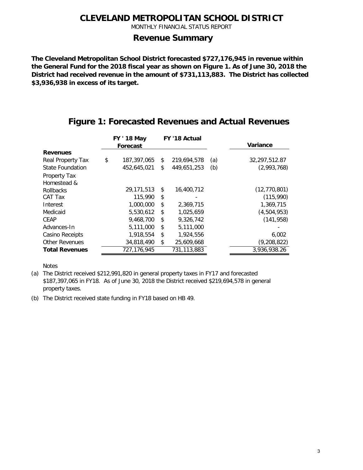MONTHLY FINANCIAL STATUS REPORT

#### **Revenue Summary**

**The Cleveland Metropolitan School District forecasted \$727,176,945 in revenue within the General Fund for the 2018 fiscal year as shown on Figure 1. As of June 30, 2018 the District had received revenue in the amount of \$731,113,883. The District has collected \$3,936,938 in excess of its target.**

|                         | <b>FY ' 18 May</b> | FY '18 Actual     |     |                |
|-------------------------|--------------------|-------------------|-----|----------------|
|                         | Forecast           |                   |     | Variance       |
| <b>Revenues</b>         |                    |                   |     |                |
| Real Property Tax       | \$<br>187,397,065  | \$<br>219,694,578 | (a) | 32,297,512.87  |
| <b>State Foundation</b> | 452,645,021        | \$<br>449,651,253 | (b) | (2,993,768)    |
| Property Tax            |                    |                   |     |                |
| Homestead &             |                    |                   |     |                |
| <b>Rollbacks</b>        | 29,171,513         | \$<br>16,400,712  |     | (12, 770, 801) |
| CAT Tax                 | 115,990            | \$                |     | (115,990)      |
| Interest                | 1,000,000          | \$<br>2,369,715   |     | 1,369,715      |
| Medicaid                | 5,530,612          | \$<br>1,025,659   |     | (4,504,953)    |
| <b>CEAP</b>             | 9,468,700          | \$<br>9,326,742   |     | (141, 958)     |
| Advances-In             | 5,111,000          | \$<br>5,111,000   |     |                |
| Casino Receipts         | 1,918,554          | \$<br>1,924,556   |     | 6,002          |
| <b>Other Revenues</b>   | 34,818,490         | \$<br>25,609,668  |     | (9, 208, 822)  |
| <b>Total Revenues</b>   | 727, 176, 945      | 731, 113, 883     |     | 3,936,938.26   |

#### **Figure 1: Forecasted Revenues and Actual Revenues**

Notes

(a) The District received \$212,991,820 in general property taxes in FY17 and forecasted \$187,397,065 in FY18. As of June 30, 2018 the District received \$219,694,578 in general property taxes.

(b) The District received state funding in FY18 based on HB 49.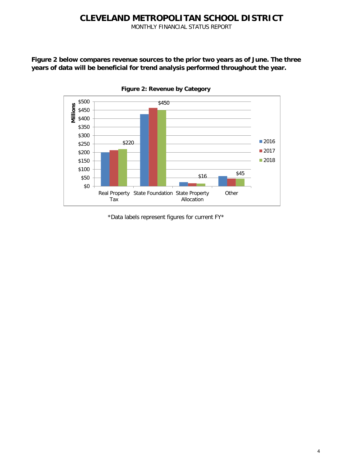MONTHLY FINANCIAL STATUS REPORT

**Figure 2 below compares revenue sources to the prior two years as of June. The three years of data will be beneficial for trend analysis performed throughout the year.**



**Figure 2: Revenue by Category**

\*Data labels represent figures for current FY\*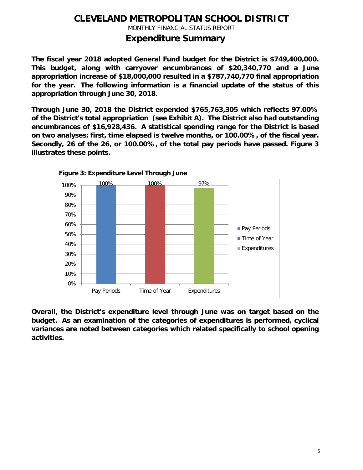MONTHLY FINANCIAL STATUS REPORT

#### **Expenditure Summary**

**The fiscal year 2018 adopted General Fund budget for the District is \$749,400,000. This budget, along with carryover encumbrances of \$20,340,770 and a June appropriation increase of \$18,000,000 resulted in a \$787,740,770 final appropriation for the year. The following information is a financial update of the status of this appropriation through June 30, 2018.**

**Through June 30, 2018 the District expended \$765,763,305 which reflects 97.00% of the District's total appropriation (see Exhibit A). The District also had outstanding encumbrances of \$16,928,436. A statistical spending range for the District is based on two analyses: first, time elapsed is twelve months, or 100.00%, of the fiscal year. Secondly, 26 of the 26, or 100.00%, of the total pay periods have passed. Figure 3 illustrates these points.**



**Overall, the District's expenditure level through June was on target based on the budget. As an examination of the categories of expenditures is performed, cyclical variances are noted between categories which related specifically to school opening activities.**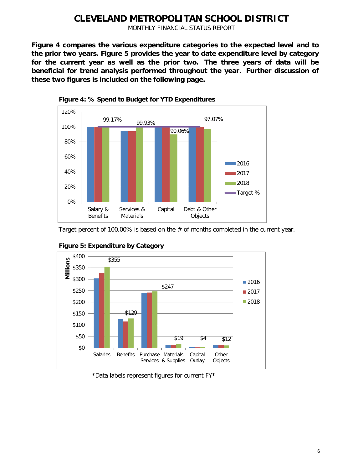MONTHLY FINANCIAL STATUS REPORT

**Figure 4 compares the various expenditure categories to the expected level and to the prior two years. Figure 5 provides the year to date expenditure level by category for the current year as well as the prior two. The three years of data will be beneficial for trend analysis performed throughout the year. Further discussion of these two figures is included on the following page.**



**Figure 4: % Spend to Budget for YTD Expenditures**

Target percent of 100.00% is based on the # of months completed in the current year.





<sup>\*</sup>Data labels represent figures for current FY\*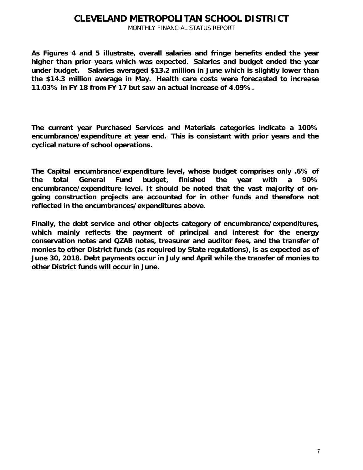MONTHLY FINANCIAL STATUS REPORT

**As Figures 4 and 5 illustrate, overall salaries and fringe benefits ended the year higher than prior years which was expected. Salaries and budget ended the year under budget. Salaries averaged \$13.2 million in June which is slightly lower than the \$14.3 million average in May. Health care costs were forecasted to increase 11.03% in FY 18 from FY 17 but saw an actual increase of 4.09%.**

**The current year Purchased Services and Materials categories indicate a 100% encumbrance/expenditure at year end. This is consistant with prior years and the cyclical nature of school operations.**

**The Capital encumbrance/expenditure level, whose budget comprises only .6% of the total General Fund budget, finished the year with a 90% encumbrance/expenditure level. It should be noted that the vast majority of ongoing construction projects are accounted for in other funds and therefore not reflected in the encumbrances/expenditures above.**

**Finally, the debt service and other objects category of encumbrance/expenditures, which mainly reflects the payment of principal and interest for the energy conservation notes and QZAB notes, treasurer and auditor fees, and the transfer of monies to other District funds (as required by State regulations), is as expected as of June 30, 2018. Debt payments occur in July and April while the transfer of monies to other District funds will occur in June.**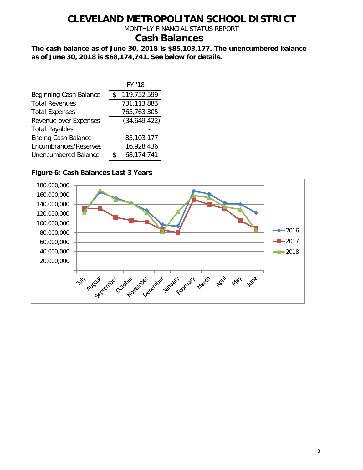MONTHLY FINANCIAL STATUS REPORT

### **Cash Balances**

**The cash balance as of June 30, 2018 is \$85,103,177. The unencumbered balance as of June 30, 2018 is \$68,174,741. See below for details.**

|                             | FY '18       |
|-----------------------------|--------------|
| Beginning Cash Balance      | 119,752,599  |
| <b>Total Revenues</b>       | 731,113,883  |
| <b>Total Expenses</b>       | 765,763,305  |
| Revenue over Expenses       | (34,649,422) |
| <b>Total Payables</b>       |              |
| <b>Ending Cash Balance</b>  | 85,103,177   |
| Encumbrances/Reserves       | 16,928,436   |
| <b>Unencumbered Balance</b> | 68,174,741   |
|                             |              |

#### **Figure 6: Cash Balances Last 3 Years**

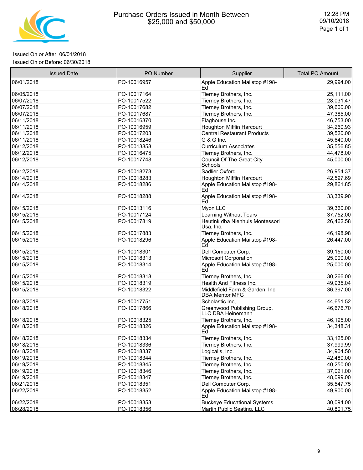

r

#### Issued On or After: 06/01/2018 Issued On or Before: 06/30/2018

| <b>Issued Date</b> | PO Number   | Supplier                                                 | <b>Total PO Amount</b> |
|--------------------|-------------|----------------------------------------------------------|------------------------|
| 06/01/2018         | PO-10016957 | Apple Education Mailstop #198-<br>Ed                     | 29,994.00              |
| 06/05/2018         | PO-10017164 | Tierney Brothers, Inc.                                   | 25,111.00              |
| 06/07/2018         | PO-10017522 | Tierney Brothers, Inc.                                   | 28,031.47              |
| 06/07/2018         | PO-10017682 | Tierney Brothers, Inc.                                   | 39,600.00              |
| 06/07/2018         | PO-10017687 | Tierney Brothers, Inc.                                   | 47,385.00              |
| 06/11/2018         | PO-10016370 | Flaghouse Inc.                                           | 46,753.00              |
| 06/11/2018         | PO-10016959 | Houghton Mifflin Harcourt                                | 34,260.93              |
| 06/11/2018         | PO-10017203 | <b>Central Restaurant Products</b>                       | 39,520.00              |
| 06/11/2018         | PO-10018246 | G & G Inc.                                               | 45,640.00              |
| 06/12/2018         | PO-10013858 | <b>Curriculum Associates</b>                             | 35,556.85              |
| 06/12/2018         | PO-10016475 | Tierney Brothers, Inc.                                   | 44,478.00              |
| 06/12/2018         | PO-10017748 | <b>Council Of The Great City</b><br>Schools              | 45,000.00              |
| 06/12/2018         | PO-10018273 | Sadlier Oxford                                           | 26,954.37              |
| 06/14/2018         | PO-10018283 | Houghton Mifflin Harcourt                                | 42,597.69              |
| 06/14/2018         | PO-10018286 | Apple Education Mailstop #198-<br>Fd                     | 29,861.85              |
| 06/14/2018         | PO-10018288 | Apple Education Mailstop #198-<br>Ed                     | 33,339.90              |
| 06/15/2018         | PO-10013116 | Myon LLC                                                 | 39,360.00              |
| 06/15/2018         | PO-10017124 | <b>Learning Without Tears</b>                            | 37,752.00              |
| 06/15/2018         | PO-10017819 | Heutink dba Nienhuis Montessori<br>Usa, Inc.             | 26,462.58              |
| 06/15/2018         | PO-10017883 | Tierney Brothers, Inc.                                   | 46,198.98              |
| 06/15/2018         | PO-10018296 | Apple Education Mailstop #198-<br>Ed                     | 26,447.00              |
| 06/15/2018         | PO-10018301 | Dell Computer Corp.                                      | 39,150.00              |
| 06/15/2018         | PO-10018313 | <b>Microsoft Corporation</b>                             | 25,000.00              |
| 06/15/2018         | PO-10018314 | Apple Education Mailstop #198-<br>Ed                     | 25,000.00              |
| 06/15/2018         | PO-10018318 | Tierney Brothers, Inc.                                   | 30,266.00              |
| 06/15/2018         | PO-10018319 | Health And Fitness Inc.                                  | 49,935.04              |
| 06/15/2018         | PO-10018322 | Middlefield Farm & Garden, Inc.<br><b>DBA Mentor MFG</b> | 36,397.00              |
| 06/18/2018         | PO-10017751 | Scholastic Inc,                                          | 44,651.52              |
| 06/18/2018         | PO-10017866 | Greenwood Publishing Group,<br>LLC DBA Heinemann         | 46,676.70              |
| 06/18/2018         | PO-10018325 | Tierney Brothers, Inc.                                   | 46,195.00              |
| 06/18/2018         | PO-10018326 | Apple Education Mailstop #198-<br>Ed                     | 34,348.31              |
| 06/18/2018         | PO-10018334 | Tierney Brothers, Inc.                                   | 33,125.00              |
| 06/18/2018         | PO-10018336 | Tierney Brothers, Inc.                                   | 37,999.99              |
| 06/18/2018         | PO-10018337 | Logicalis, Inc.                                          | 34,904.50              |
| 06/19/2018         | PO-10018344 | Tierney Brothers, Inc.                                   | 42,480.00              |
| 06/19/2018         | PO-10018345 | Tierney Brothers, Inc.                                   | 40,250.00              |
| 06/19/2018         | PO-10018346 | Tierney Brothers, Inc.                                   | 37,021.00              |
| 06/19/2018         | PO-10018347 | Tierney Brothers, Inc.                                   | 48,099.00              |
| 06/21/2018         | PO-10018351 | Dell Computer Corp.                                      | 35,547.75              |
| 06/22/2018         | PO-10018352 | Apple Education Mailstop #198-<br>Ed                     | 49,900.00              |
| 06/22/2018         | PO-10018353 | <b>Buckeye Educational Systems</b>                       | 30,094.00              |
| 06/28/2018         | PO-10018356 | <b>Martin Public Seating, LLC</b>                        | 40,801.75              |